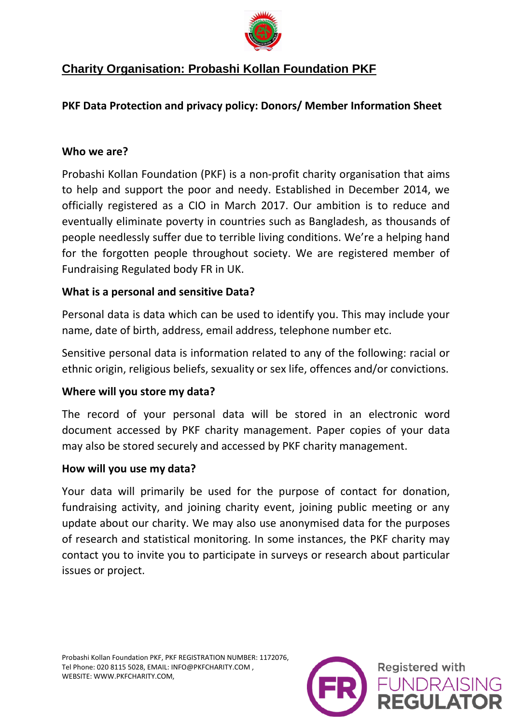

# **Charity Organisation: Probashi Kollan Foundation PKF**

## **PKF Data Protection and privacy policy: Donors/ Member Information Sheet**

#### **Who we are?**

Probashi Kollan Foundation (PKF) is a non-profit charity organisation that aims to help and support the poor and needy. Established in December 2014, we officially registered as a CIO in March 2017. Our ambition is to reduce and eventually eliminate poverty in countries such as Bangladesh, as thousands of people needlessly suffer due to terrible living conditions. We're a helping hand for the forgotten people throughout society. We are registered member of Fundraising Regulated body FR in UK.

## **What is a personal and sensitive Data?**

Personal data is data which can be used to identify you. This may include your name, date of birth, address, email address, telephone number etc.

Sensitive personal data is information related to any of the following: racial or ethnic origin, religious beliefs, sexuality or sex life, offences and/or convictions.

## **Where will you store my data?**

The record of your personal data will be stored in an electronic word document accessed by PKF charity management. Paper copies of your data may also be stored securely and accessed by PKF charity management.

#### **How will you use my data?**

Your data will primarily be used for the purpose of contact for donation, fundraising activity, and joining charity event, joining public meeting or any update about our charity. We may also use anonymised data for the purposes of research and statistical monitoring. In some instances, the PKF charity may contact you to invite you to participate in surveys or research about particular issues or project.